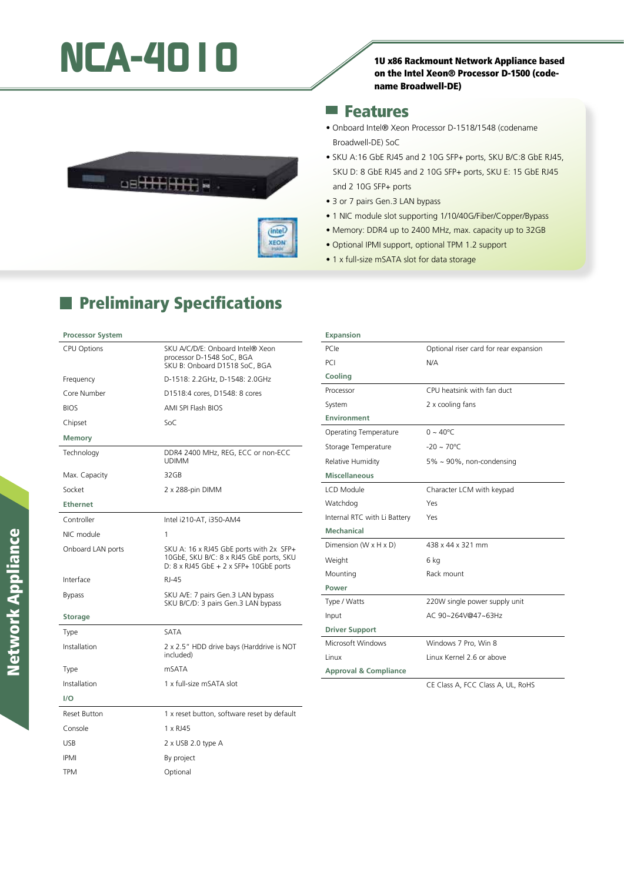# NCA-4010<br>10 x86 Rackmount Network Appliance based



### **Features**



 $($ intel $)$ XEON

# **Preliminary Specifications**

#### **Processor System**

| <b>CPU Options</b>  | SKU A/C/D/E: Onboard Intel® Xeon<br>processor D-1548 SoC, BGA<br>SKU B: Onboard D1518 SoC, BGA                                             |
|---------------------|--------------------------------------------------------------------------------------------------------------------------------------------|
| Frequency           | D-1518: 2.2GHz, D-1548: 2.0GHz                                                                                                             |
| Core Number         | D1518:4 cores, D1548: 8 cores                                                                                                              |
| <b>BIOS</b>         | AMI SPI Flash BIOS                                                                                                                         |
| Chipset             | SoC                                                                                                                                        |
| <b>Memory</b>       |                                                                                                                                            |
| Technology          | DDR4 2400 MHz, REG, ECC or non-ECC<br><b>UDIMM</b>                                                                                         |
| Max. Capacity       | 32GB                                                                                                                                       |
| Socket              | 2 x 288-pin DIMM                                                                                                                           |
| <b>Ethernet</b>     |                                                                                                                                            |
| Controller          | Intel i210-AT, i350-AM4                                                                                                                    |
| NIC module          | 1                                                                                                                                          |
| Onboard LAN ports   | SKU A: 16 x RJ45 GbE ports with 2x SFP+<br>10GbE, SKU B/C: 8 x RJ45 GbE ports, SKU<br>D: $8 \times$ RJ45 GbE + 2 $\times$ SFP+ 10GbE ports |
| Interface           | RI-45                                                                                                                                      |
| <b>Bypass</b>       | SKU A/E: 7 pairs Gen.3 LAN bypass<br>SKU B/C/D: 3 pairs Gen.3 LAN bypass                                                                   |
| <b>Storage</b>      |                                                                                                                                            |
| Type                | SATA                                                                                                                                       |
| Installation        | 2 x 2.5" HDD drive bays (Harddrive is NOT<br>included)                                                                                     |
| Type                | mSATA                                                                                                                                      |
| Installation        | 1 x full-size mSATA slot                                                                                                                   |
| I/O                 |                                                                                                                                            |
| <b>Reset Button</b> | 1 x reset button, software reset by default                                                                                                |
| Console             | 1 x RJ45                                                                                                                                   |
| <b>USB</b>          | 2 x USB 2.0 type A                                                                                                                         |
| <b>IPMI</b>         | By project                                                                                                                                 |
| TPM                 | Optional                                                                                                                                   |

| • Onboard Intel® Xeon Processor D-1518/1548 (codename |  |
|-------------------------------------------------------|--|
| Broadwell-DE) SoC                                     |  |

- SKU A:16 GbE RJ45 and 2 10G SFP+ ports, SKU B/C:8 GbE RJ45, SKU D: 8 GbE RJ45 and 2 10G SFP+ ports, SKU E: 15 GbE RJ45 and 2 10G SFP+ ports
- 3 or 7 pairs Gen.3 LAN bypass
- 1 NIC module slot supporting 1/10/40G/Fiber/Copper/Bypass
- Memory: DDR4 up to 2400 MHz, max. capacity up to 32GB
- Optional IPMI support, optional TPM 1.2 support
- 1 x full-size mSATA slot for data storage

| <b>Expansion</b>                 |                                        |
|----------------------------------|----------------------------------------|
| PCIe                             | Optional riser card for rear expansion |
| PCI                              | N/A                                    |
| Cooling                          |                                        |
| Processor                        | CPU heatsink with fan duct             |
| System                           | 2 x cooling fans                       |
| <b>Environment</b>               |                                        |
| Operating Temperature            | $0 \sim 40^{\circ}$ C                  |
| Storage Temperature              | $-20 \sim 70^{\circ}$ C                |
| Relative Humidity                | 5% ~ 90%, non-condensing               |
| <b>Miscellaneous</b>             |                                        |
| LCD Module                       | Character LCM with keypad              |
| Watchdog                         | Yes                                    |
| Internal RTC with Li Battery     | Yes                                    |
| <b>Mechanical</b>                |                                        |
| Dimension (W x H x D)            | 438 x 44 x 321 mm                      |
| Weight                           | 6 kg                                   |
| Mounting                         | Rack mount                             |
| Power                            |                                        |
| Type / Watts                     | 220W single power supply unit          |
| Input                            | AC 90~264V@47~63Hz                     |
| <b>Driver Support</b>            |                                        |
| Microsoft Windows                | Windows 7 Pro, Win 8                   |
| Linux                            | Linux Kernel 2.6 or above              |
| <b>Approval &amp; Compliance</b> |                                        |
|                                  | CE Class A, FCC Class A, UL, RoHS      |